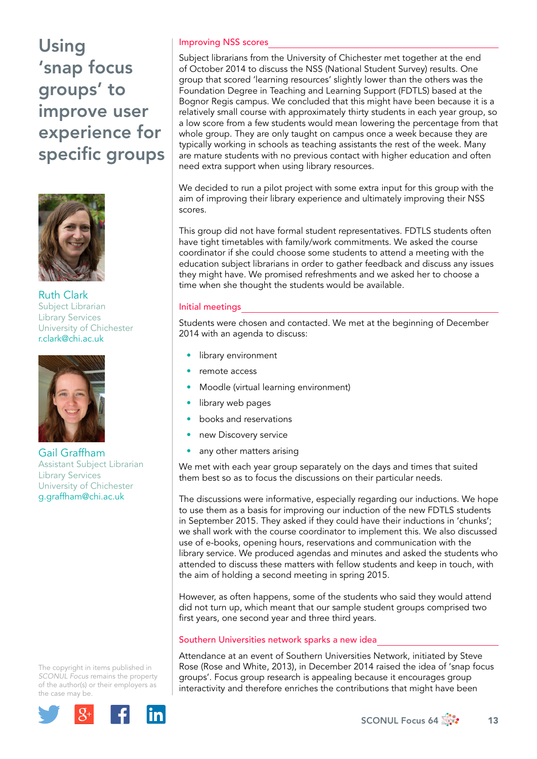Using 'snap focus groups' to improve user experience for specific groups



Ruth Clark Subject Librarian Library Services University of Chichester r.clark@chi.ac.uk



Gail Graffham Assistant Subject Librarian Library Services University of Chichester g.graffham@chi.ac.uk

The copyright in items published in *SCONUL Focus* remains the property of the author(s) or their employers as the case m[ay be.](http://plus.google.com/share?url=http://www.sconul.ac.uk/page/focus-64)



# Improving NSS scores

Subject librarians from the University of Chichester met together at the end of October 2014 to discuss the NSS (National Student Survey) results. One group that scored 'learning resources' slightly lower than the others was the Foundation Degree in Teaching and Learning Support (FDTLS) based at the Bognor Regis campus. We concluded that this might have been because it is a relatively small course with approximately thirty students in each year group, so a low score from a few students would mean lowering the percentage from that whole group. They are only taught on campus once a week because they are typically working in schools as teaching assistants the rest of the week. Many are mature students with no previous contact with higher education and often need extra support when using library resources.

We decided to run a pilot project with some extra input for this group with the aim of improving their library experience and ultimately improving their NSS scores.

This group did not have formal student representatives. FDTLS students often have tight timetables with family/work commitments. We asked the course coordinator if she could choose some students to attend a meeting with the education subject librarians in order to gather feedback and discuss any issues they might have. We promised refreshments and we asked her to choose a time when she thought the students would be available.

## Initial meetings

Students were chosen and contacted. We met at the beginning of December 2014 with an agenda to discuss:

- library environment
- remote access
- Moodle (virtual learning environment)
- library web pages
- books and reservations
- new Discovery service
- any other matters arising

We met with each year group separately on the days and times that suited them best so as to focus the discussions on their particular needs.

The discussions were informative, especially regarding our inductions. We hope to use them as a basis for improving our induction of the new FDTLS students in September 2015. They asked if they could have their inductions in 'chunks'; we shall work with the course coordinator to implement this. We also discussed use of e-books, opening hours, reservations and communication with the library service. We produced agendas and minutes and asked the students who attended to discuss these matters with fellow students and keep in touch, with the aim of holding a second meeting in spring 2015.

However, as often happens, some of the students who said they would attend did not turn up, which meant that our sample student groups comprised two first years, one second year and three third years.

# Southern Universities network sparks a new idea

Attendance at an event of Southern Universities Network, initiated by Steve Rose (Rose and White, 2013), in December 2014 raised the idea of 'snap focus groups'. Focus group research is appealing because it encourages group interactivity and therefore enriches the contributions that might have been